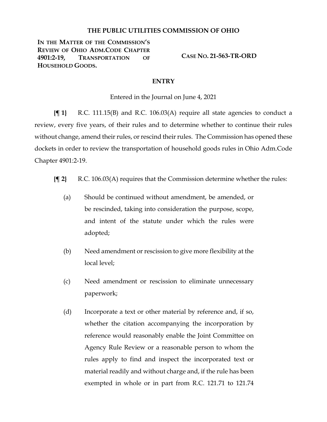## **THE PUBLIC UTILITIES COMMISSION OF OHIO**

**IN THE MATTER OF THE COMMISSION'S REVIEW OF OHIO ADM.CODE CHAPTER 4901:2-19, TRANSPORTATION OF HOUSEHOLD GOODS.**

**CASE NO. 21-563-TR-ORD**

## **ENTRY**

Entered in the Journal on June 4, 2021

**{¶ 1}** R.C. 111.15(B) and R.C. 106.03(A) require all state agencies to conduct a review, every five years, of their rules and to determine whether to continue their rules without change, amend their rules, or rescind their rules. The Commission has opened these dockets in order to review the transportation of household goods rules in Ohio Adm.Code Chapter 4901:2-19.

- **{¶ 2}** R.C. 106.03(A) requires that the Commission determine whether the rules:
	- (a) Should be continued without amendment, be amended, or be rescinded, taking into consideration the purpose, scope, and intent of the statute under which the rules were adopted;
	- (b) Need amendment or rescission to give more flexibility at the local level;
	- (c) Need amendment or rescission to eliminate unnecessary paperwork;
	- (d) Incorporate a text or other material by reference and, if so, whether the citation accompanying the incorporation by reference would reasonably enable the Joint Committee on Agency Rule Review or a reasonable person to whom the rules apply to find and inspect the incorporated text or material readily and without charge and, if the rule has been exempted in whole or in part from R.C. 121.71 to 121.74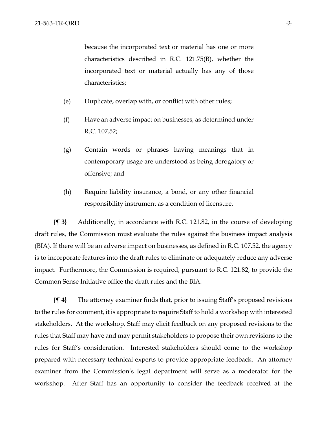because the incorporated text or material has one or more characteristics described in R.C. 121.75(B), whether the incorporated text or material actually has any of those characteristics;

- (e) Duplicate, overlap with, or conflict with other rules;
- (f) Have an adverse impact on businesses, as determined under R.C. 107.52;
- (g) Contain words or phrases having meanings that in contemporary usage are understood as being derogatory or offensive; and
- (h) Require liability insurance, a bond, or any other financial responsibility instrument as a condition of licensure.

**{¶ 3}** Additionally, in accordance with R.C. 121.82, in the course of developing draft rules, the Commission must evaluate the rules against the business impact analysis (BIA). If there will be an adverse impact on businesses, as defined in R.C. 107.52, the agency is to incorporate features into the draft rules to eliminate or adequately reduce any adverse impact. Furthermore, the Commission is required, pursuant to R.C. 121.82, to provide the Common Sense Initiative office the draft rules and the BIA.

**{¶ 4}** The attorney examiner finds that, prior to issuing Staff's proposed revisions to the rules for comment, it is appropriate to require Staff to hold a workshop with interested stakeholders. At the workshop, Staff may elicit feedback on any proposed revisions to the rules that Staff may have and may permit stakeholders to propose their own revisions to the rules for Staff's consideration. Interested stakeholders should come to the workshop prepared with necessary technical experts to provide appropriate feedback. An attorney examiner from the Commission's legal department will serve as a moderator for the workshop. After Staff has an opportunity to consider the feedback received at the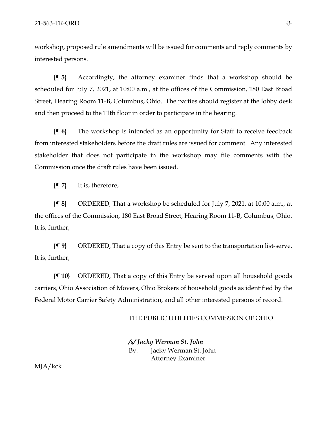workshop, proposed rule amendments will be issued for comments and reply comments by interested persons.

**{¶ 5}** Accordingly, the attorney examiner finds that a workshop should be scheduled for July 7, 2021, at 10:00 a.m., at the offices of the Commission, 180 East Broad Street, Hearing Room 11-B, Columbus, Ohio. The parties should register at the lobby desk and then proceed to the 11th floor in order to participate in the hearing.

**{¶ 6}** The workshop is intended as an opportunity for Staff to receive feedback from interested stakeholders before the draft rules are issued for comment. Any interested stakeholder that does not participate in the workshop may file comments with the Commission once the draft rules have been issued.

**{¶ 7}** It is, therefore,

**{¶ 8}** ORDERED, That a workshop be scheduled for July 7, 2021, at 10:00 a.m., at the offices of the Commission, 180 East Broad Street, Hearing Room 11-B, Columbus, Ohio. It is, further,

**{¶ 9}** ORDERED, That a copy of this Entry be sent to the transportation list-serve. It is, further,

**{¶ 10}** ORDERED, That a copy of this Entry be served upon all household goods carriers, Ohio Association of Movers, Ohio Brokers of household goods as identified by the Federal Motor Carrier Safety Administration, and all other interested persons of record.

THE PUBLIC UTILITIES COMMISSION OF OHIO

*/s/ Jacky Werman St. John*

By: Jacky Werman St. John Attorney Examiner

MJA/kck